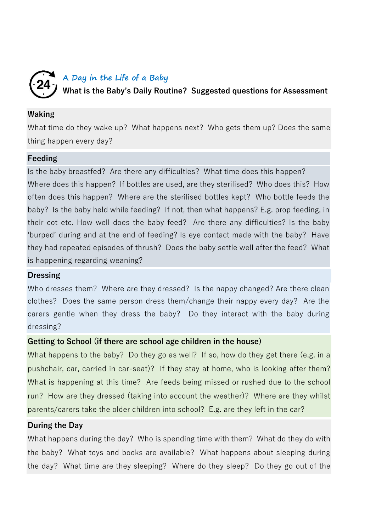## **A Day in the Life of a Baby**  24 **What is the Baby's Daily Routine? Suggested questions for Assessment**

## **Waking**

What time do they wake up? What happens next? Who gets them up? Does the same thing happen every day?

## **Feeding**

Is the baby breastfed? Are there any difficulties? What time does this happen? Where does this happen? If bottles are used, are they sterilised? Who does this? How often does this happen? Where are the sterilised bottles kept? Who bottle feeds the baby? Is the baby held while feeding? If not, then what happens? E.g. prop feeding, in their cot etc. How well does the baby feed? Are there any difficulties? Is the baby 'burped' during and at the end of feeding? Is eye contact made with the baby? Have they had repeated episodes of thrush? Does the baby settle well after the feed? What is happening regarding weaning?

#### **Dressing**

Who dresses them? Where are they dressed? Is the nappy changed? Are there clean clothes? Does the same person dress them/change their nappy every day? Are the carers gentle when they dress the baby? Do they interact with the baby during dressing?

# **Getting to School (if there are school age children in the house)**

What happens to the baby? Do they go as well? If so, how do they get there (e.g. in a pushchair, car, carried in car-seat)? If they stay at home, who is looking after them? What is happening at this time? Are feeds being missed or rushed due to the school run? How are they dressed (taking into account the weather)? Where are they whilst parents/carers take the older children into school? E.g. are they left in the car?

# **During the Day**

What happens during the day? Who is spending time with them? What do they do with the baby? What toys and books are available? What happens about sleeping during the day? What time are they sleeping? Where do they sleep? Do they go out of the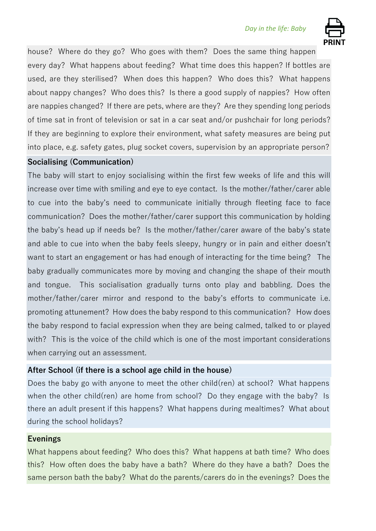

house? Where do they go? Who goes with them? Does the same thing happen every day? What happens about feeding? What time does this happen? If bottles are used, are they sterilised? When does this happen? Who does this? What happens about nappy changes? Who does this? Is there a good supply of nappies? How often are nappies changed? If there are pets, where are they? Are they spending long periods of time sat in front of television or sat in a car seat and/or pushchair for long periods? If they are beginning to explore their environment, what safety measures are being put into place, e.g. safety gates, plug socket covers, supervision by an appropriate person?

## **Socialising (Communication)**

The baby will start to enjoy socialising within the first few weeks of life and this will increase over time with smiling and eye to eye contact. Is the mother/father/carer able to cue into the baby's need to communicate initially through fleeting face to face communication? Does the mother/father/carer support this communication by holding the baby's head up if needs be? Is the mother/father/carer aware of the baby's state and able to cue into when the baby feels sleepy, hungry or in pain and either doesn't want to start an engagement or has had enough of interacting for the time being? The baby gradually communicates more by moving and changing the shape of their mouth and tongue. This socialisation gradually turns onto play and babbling. Does the mother/father/carer mirror and respond to the baby's efforts to communicate i.e. promoting attunement? How does the baby respond to this communication? How does the baby respond to facial expression when they are being calmed, talked to or played with? This is the voice of the child which is one of the most important considerations when carrying out an assessment.

# **After School (if there is a school age child in the house)**

Does the baby go with anyone to meet the other child(ren) at school? What happens when the other child(ren) are home from school? Do they engage with the baby? Is there an adult present if this happens? What happens during mealtimes? What about during the school holidays?

#### **Evenings**

What happens about feeding? Who does this? What happens at bath time? Who does this? How often does the baby have a bath? Where do they have a bath? Does the same person bath the baby? What do the parents/carers do in the evenings? Does the